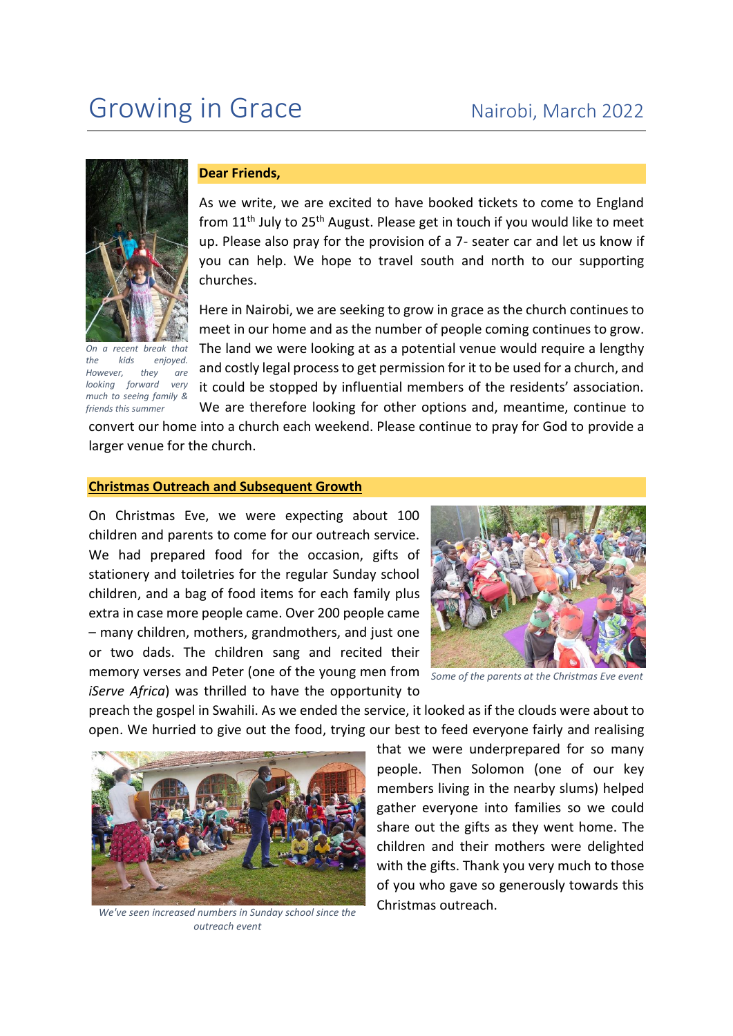

*On a recent break that the kids enjoyed. However, they are looking forward very much to seeing family & friends this summer*

## **Dear Friends,**

As we write, we are excited to have booked tickets to come to England from  $11<sup>th</sup>$  July to  $25<sup>th</sup>$  August. Please get in touch if you would like to meet up. Please also pray for the provision of a 7- seater car and let us know if you can help. We hope to travel south and north to our supporting churches.

Here in Nairobi, we are seeking to grow in grace as the church continues to meet in our home and as the number of people coming continues to grow. The land we were looking at as a potential venue would require a lengthy and costly legal process to get permission for it to be used for a church, and it could be stopped by influential members of the residents' association. We are therefore looking for other options and, meantime, continue to

convert our home into a church each weekend. Please continue to pray for God to provide a larger venue for the church.

## **Christmas Outreach and Subsequent Growth**

On Christmas Eve, we were expecting about 100 children and parents to come for our outreach service. We had prepared food for the occasion, gifts of stationery and toiletries for the regular Sunday school children, and a bag of food items for each family plus extra in case more people came. Over 200 people came – many children, mothers, grandmothers, and just one or two dads. The children sang and recited their memory verses and Peter (one of the young men from *iServe Africa*) was thrilled to have the opportunity to



*Some of the parents at the Christmas Eve event*

preach the gospel in Swahili. As we ended the service, it looked as if the clouds were about to open. We hurried to give out the food, trying our best to feed everyone fairly and realising



*We've seen increased numbers in Sunday school since the outreach event*

that we were underprepared for so many people. Then Solomon (one of our key members living in the nearby slums) helped gather everyone into families so we could share out the gifts as they went home. The children and their mothers were delighted with the gifts. Thank you very much to those of you who gave so generously towards this Christmas outreach.